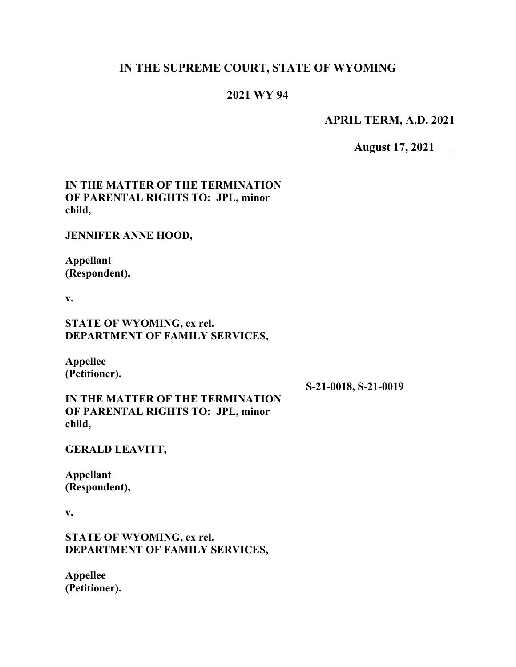# **IN THE SUPREME COURT, STATE OF WYOMING**

# **2021 WY 94**

**APRIL TERM, A.D. 2021**

**August 17, 2021**

| IN THE MATTER OF THE TERMINATION<br>OF PARENTAL RIGHTS TO: JPL, minor<br>child, |                      |
|---------------------------------------------------------------------------------|----------------------|
| <b>JENNIFER ANNE HOOD,</b>                                                      |                      |
| <b>Appellant</b><br>(Respondent),                                               |                      |
| v.                                                                              |                      |
| <b>STATE OF WYOMING, ex rel.</b><br>DEPARTMENT OF FAMILY SERVICES,              |                      |
| <b>Appellee</b><br>(Petitioner).                                                | S-21-0018, S-21-0019 |
| IN THE MATTER OF THE TERMINATION<br>OF PARENTAL RIGHTS TO: JPL, minor<br>child, |                      |
| <b>GERALD LEAVITT,</b>                                                          |                      |
| <b>Appellant</b><br>(Respondent),                                               |                      |
| v.                                                                              |                      |
| STATE OF WYOMING, ex rel.<br>DEPARTMENT OF FAMILY SERVICES,                     |                      |
| <b>Appellee</b><br>(Petitioner).                                                |                      |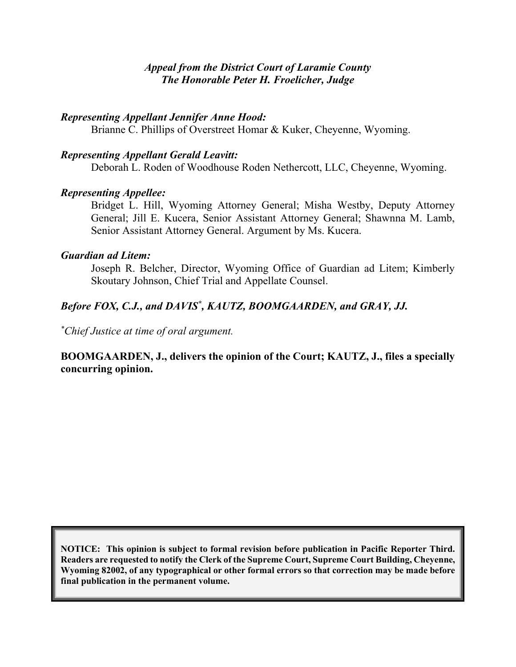### *Appeal from the District Court of Laramie County The Honorable Peter H. Froelicher, Judge*

### *Representing Appellant Jennifer Anne Hood:*

Brianne C. Phillips of Overstreet Homar & Kuker, Cheyenne, Wyoming.

### *Representing Appellant Gerald Leavitt:*

Deborah L. Roden of Woodhouse Roden Nethercott, LLC, Cheyenne, Wyoming.

### *Representing Appellee:*

Bridget L. Hill, Wyoming Attorney General; Misha Westby, Deputy Attorney General; Jill E. Kucera, Senior Assistant Attorney General; Shawnna M. Lamb, Senior Assistant Attorney General. Argument by Ms. Kucera.

### *Guardian ad Litem:*

Joseph R. Belcher, Director, Wyoming Office of Guardian ad Litem; Kimberly Skoutary Johnson, Chief Trial and Appellate Counsel.

# Before FOX, C.J., and DAVIS<sup>\*</sup>, KAUTZ, BOOMGAARDEN, and GRAY, JJ.

*\* Chief Justice at time of oral argument.*

### **BOOMGAARDEN, J., delivers the opinion of the Court; KAUTZ, J., files a specially concurring opinion.**

**NOTICE: This opinion is subject to formal revision before publication in Pacific Reporter Third. Readers are requested to notify the Clerk of the Supreme Court, Supreme Court Building, Cheyenne, Wyoming 82002, of any typographical or other formal errors so that correction may be made before final publication in the permanent volume.**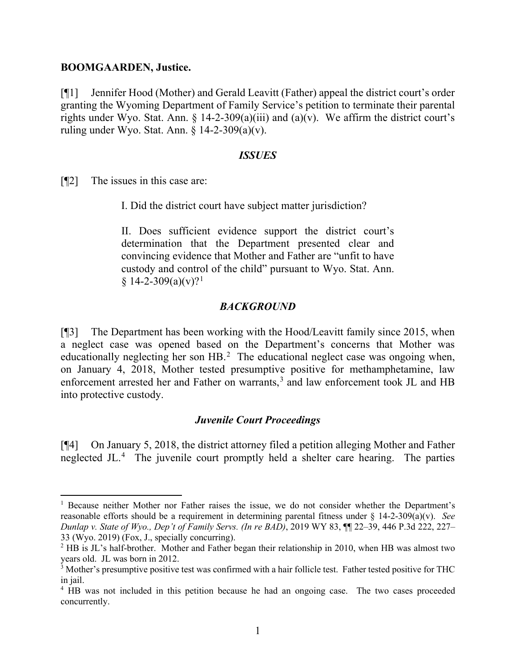#### **BOOMGAARDEN, Justice.**

[¶1] Jennifer Hood (Mother) and Gerald Leavitt (Father) appeal the district court's order granting the Wyoming Department of Family Service's petition to terminate their parental rights under Wyo. Stat. Ann. § 14-2-309(a)(iii) and (a)(v). We affirm the district court's ruling under Wyo. Stat. Ann.  $\S$  14-2-309(a)(v).

#### *ISSUES*

[¶2] The issues in this case are:

I. Did the district court have subject matter jurisdiction?

II. Does sufficient evidence support the district court's determination that the Department presented clear and convincing evidence that Mother and Father are "unfit to have custody and control of the child" pursuant to Wyo. Stat. Ann.  $§ 14-2-309(a)(v)?<sup>1</sup>$  $§ 14-2-309(a)(v)?<sup>1</sup>$  $§ 14-2-309(a)(v)?<sup>1</sup>$ 

#### *BACKGROUND*

[¶3] The Department has been working with the Hood/Leavitt family since 2015, when a neglect case was opened based on the Department's concerns that Mother was educationally neglecting her son  $HB$ .<sup>[2](#page-2-1)</sup> The educational neglect case was ongoing when, on January 4, 2018, Mother tested presumptive positive for methamphetamine, law enforcement arrested her and Father on warrants,<sup>[3](#page-2-2)</sup> and law enforcement took JL and HB into protective custody.

#### *Juvenile Court Proceedings*

[¶4] On January 5, 2018, the district attorney filed a petition alleging Mother and Father neglected JL.<sup>[4](#page-2-3)</sup> The juvenile court promptly held a shelter care hearing. The parties

<span id="page-2-0"></span><sup>1</sup> Because neither Mother nor Father raises the issue, we do not consider whether the Department's reasonable efforts should be a requirement in determining parental fitness under § 14-2-309(a)(v). *See Dunlap v. State of Wyo., Dep't of Family Servs. (In re BAD)*, 2019 WY 83, ¶¶ 22–39, 446 P.3d 222, 227– 33 (Wyo. 2019) (Fox, J., specially concurring).

<span id="page-2-1"></span><sup>&</sup>lt;sup>2</sup> HB is JL's half-brother. Mother and Father began their relationship in 2010, when HB was almost two years old. JL was born in 2012.

<span id="page-2-2"></span><sup>&</sup>lt;sup>3</sup> Mother's presumptive positive test was confirmed with a hair follicle test. Father tested positive for THC in jail.

<span id="page-2-3"></span><sup>&</sup>lt;sup>4</sup> HB was not included in this petition because he had an ongoing case. The two cases proceeded concurrently.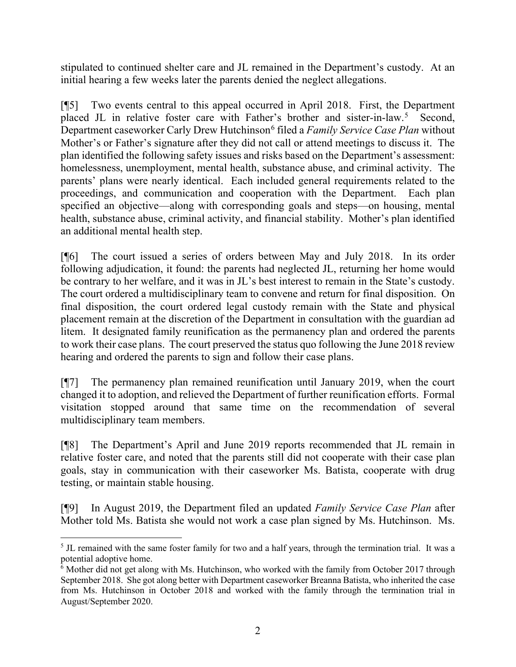stipulated to continued shelter care and JL remained in the Department's custody. At an initial hearing a few weeks later the parents denied the neglect allegations.

[¶5] Two events central to this appeal occurred in April 2018. First, the Department placed JL in relative foster care with Father's brother and sister-in-law.<sup>[5](#page-3-0)</sup> Second, Department caseworker Carly Drew Hutchinson<sup>[6](#page-3-1)</sup> filed a *Family Service Case Plan* without Mother's or Father's signature after they did not call or attend meetings to discuss it. The plan identified the following safety issues and risks based on the Department's assessment: homelessness, unemployment, mental health, substance abuse, and criminal activity. The parents' plans were nearly identical. Each included general requirements related to the proceedings, and communication and cooperation with the Department. Each plan specified an objective—along with corresponding goals and steps—on housing, mental health, substance abuse, criminal activity, and financial stability. Mother's plan identified an additional mental health step.

[¶6] The court issued a series of orders between May and July 2018. In its order following adjudication, it found: the parents had neglected JL, returning her home would be contrary to her welfare, and it was in JL's best interest to remain in the State's custody. The court ordered a multidisciplinary team to convene and return for final disposition. On final disposition, the court ordered legal custody remain with the State and physical placement remain at the discretion of the Department in consultation with the guardian ad litem. It designated family reunification as the permanency plan and ordered the parents to work their case plans. The court preserved the status quo following the June 2018 review hearing and ordered the parents to sign and follow their case plans.

[¶7] The permanency plan remained reunification until January 2019, when the court changed it to adoption, and relieved the Department of further reunification efforts. Formal visitation stopped around that same time on the recommendation of several multidisciplinary team members.

[¶8] The Department's April and June 2019 reports recommended that JL remain in relative foster care, and noted that the parents still did not cooperate with their case plan goals, stay in communication with their caseworker Ms. Batista, cooperate with drug testing, or maintain stable housing.

[¶9] In August 2019, the Department filed an updated *Family Service Case Plan* after Mother told Ms. Batista she would not work a case plan signed by Ms. Hutchinson. Ms.

<span id="page-3-0"></span><sup>&</sup>lt;sup>5</sup> JL remained with the same foster family for two and a half years, through the termination trial. It was a potential adoptive home.

<span id="page-3-1"></span><sup>&</sup>lt;sup>6</sup> Mother did not get along with Ms. Hutchinson, who worked with the family from October 2017 through September 2018. She got along better with Department caseworker Breanna Batista, who inherited the case from Ms. Hutchinson in October 2018 and worked with the family through the termination trial in August/September 2020.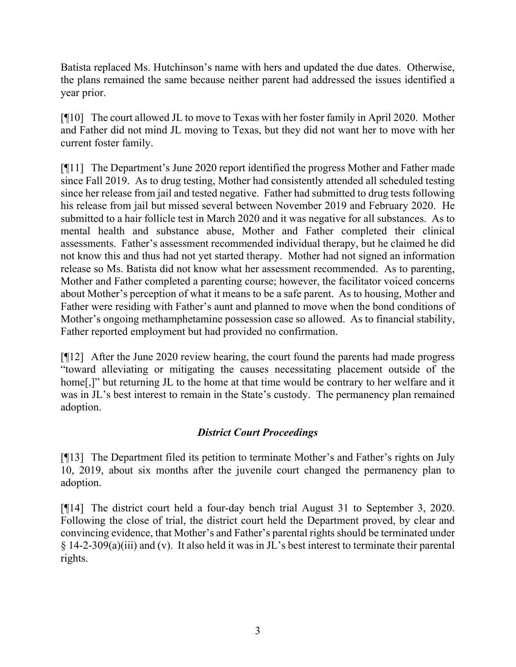Batista replaced Ms. Hutchinson's name with hers and updated the due dates. Otherwise, the plans remained the same because neither parent had addressed the issues identified a year prior.

[¶10] The court allowed JL to move to Texas with her foster family in April 2020. Mother and Father did not mind JL moving to Texas, but they did not want her to move with her current foster family.

[¶11] The Department's June 2020 report identified the progress Mother and Father made since Fall 2019. As to drug testing, Mother had consistently attended all scheduled testing since her release from jail and tested negative. Father had submitted to drug tests following his release from jail but missed several between November 2019 and February 2020. He submitted to a hair follicle test in March 2020 and it was negative for all substances. As to mental health and substance abuse, Mother and Father completed their clinical assessments. Father's assessment recommended individual therapy, but he claimed he did not know this and thus had not yet started therapy. Mother had not signed an information release so Ms. Batista did not know what her assessment recommended. As to parenting, Mother and Father completed a parenting course; however, the facilitator voiced concerns about Mother's perception of what it means to be a safe parent. As to housing, Mother and Father were residing with Father's aunt and planned to move when the bond conditions of Mother's ongoing methamphetamine possession case so allowed. As to financial stability, Father reported employment but had provided no confirmation.

[¶12] After the June 2020 review hearing, the court found the parents had made progress "toward alleviating or mitigating the causes necessitating placement outside of the home<sup>[1]</sup>, but returning JL to the home at that time would be contrary to her welfare and it was in JL's best interest to remain in the State's custody. The permanency plan remained adoption.

# *District Court Proceedings*

[¶13] The Department filed its petition to terminate Mother's and Father's rights on July 10, 2019, about six months after the juvenile court changed the permanency plan to adoption.

[¶14] The district court held a four-day bench trial August 31 to September 3, 2020. Following the close of trial, the district court held the Department proved, by clear and convincing evidence, that Mother's and Father's parental rights should be terminated under § 14-2-309(a)(iii) and (v). It also held it was in JL's best interest to terminate their parental rights.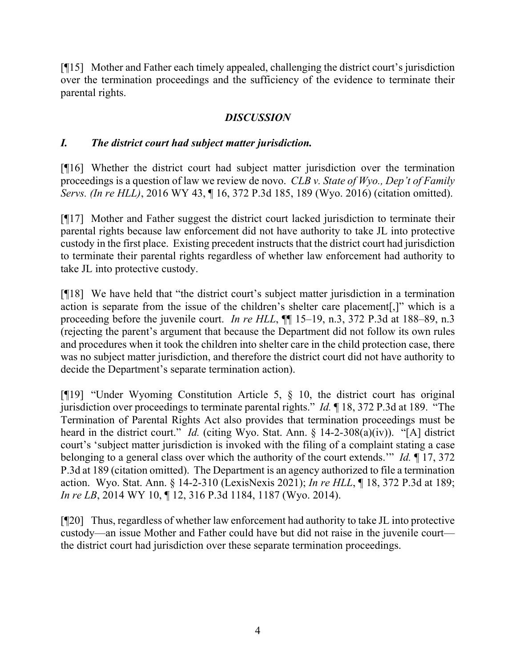[¶15] Mother and Father each timely appealed, challenging the district court's jurisdiction over the termination proceedings and the sufficiency of the evidence to terminate their parental rights.

# *DISCUSSION*

# *I. The district court had subject matter jurisdiction.*

[¶16] Whether the district court had subject matter jurisdiction over the termination proceedings is a question of law we review de novo. *CLB v. State of Wyo., Dep't of Family Servs. (In re HLL)*, 2016 WY 43, ¶ 16, 372 P.3d 185, 189 (Wyo. 2016) (citation omitted).

[¶17] Mother and Father suggest the district court lacked jurisdiction to terminate their parental rights because law enforcement did not have authority to take JL into protective custody in the first place. Existing precedent instructs that the district court had jurisdiction to terminate their parental rights regardless of whether law enforcement had authority to take JL into protective custody.

[¶18] We have held that "the district court's subject matter jurisdiction in a termination action is separate from the issue of the children's shelter care placement[,]" which is a proceeding before the juvenile court. *In re HLL*,  $\P$  15–19, n.3, 372 P.3d at 188–89, n.3 (rejecting the parent's argument that because the Department did not follow its own rules and procedures when it took the children into shelter care in the child protection case, there was no subject matter jurisdiction, and therefore the district court did not have authority to decide the Department's separate termination action).

[¶19] "Under Wyoming Constitution Article 5, § 10, the district court has original jurisdiction over proceedings to terminate parental rights." *Id.* ¶ 18, 372 P.3d at 189. "The Termination of Parental Rights Act also provides that termination proceedings must be heard in the district court." *Id.* (citing Wyo. Stat. Ann. § 14-2-308(a)(iv)). "[A] district court's 'subject matter jurisdiction is invoked with the filing of a complaint stating a case belonging to a general class over which the authority of the court extends.'" *Id.* ¶ 17, 372 P.3d at 189 (citation omitted). The Department is an agency authorized to file a termination action. Wyo. Stat. Ann. § 14-2-310 (LexisNexis 2021); *In re HLL*, ¶ 18, 372 P.3d at 189; *In re LB*, 2014 WY 10, ¶ 12, 316 P.3d 1184, 1187 (Wyo. 2014).

[¶20] Thus, regardless of whether law enforcement had authority to take JL into protective custody—an issue Mother and Father could have but did not raise in the juvenile court the district court had jurisdiction over these separate termination proceedings.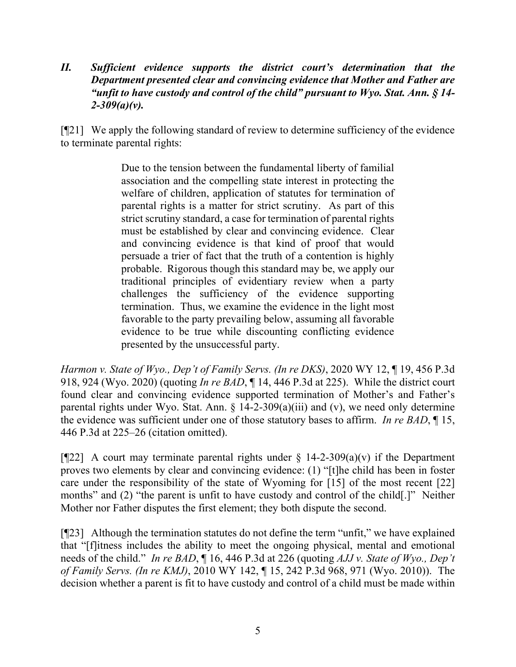*II. Sufficient evidence supports the district court's determination that the Department presented clear and convincing evidence that Mother and Father are "unfit to have custody and control of the child" pursuant to Wyo. Stat. Ann. § 14- 2-309(a)(v).*

[¶21] We apply the following standard of review to determine sufficiency of the evidence to terminate parental rights:

> Due to the tension between the fundamental liberty of familial association and the compelling state interest in protecting the welfare of children, application of statutes for termination of parental rights is a matter for strict scrutiny. As part of this strict scrutiny standard, a case for termination of parental rights must be established by clear and convincing evidence. Clear and convincing evidence is that kind of proof that would persuade a trier of fact that the truth of a contention is highly probable. Rigorous though this standard may be, we apply our traditional principles of evidentiary review when a party challenges the sufficiency of the evidence supporting termination. Thus, we examine the evidence in the light most favorable to the party prevailing below, assuming all favorable evidence to be true while discounting conflicting evidence presented by the unsuccessful party.

*Harmon v. State of Wyo., Dep't of Family Servs. (In re DKS)*, 2020 WY 12, ¶ 19, 456 P.3d 918, 924 (Wyo. 2020) (quoting *In re BAD*, ¶ 14, 446 P.3d at 225). While the district court found clear and convincing evidence supported termination of Mother's and Father's parental rights under Wyo. Stat. Ann.  $\S$  14-2-309(a)(iii) and (v), we need only determine the evidence was sufficient under one of those statutory bases to affirm. *In re BAD*, ¶ 15, 446 P.3d at 225–26 (citation omitted).

[ $[22]$ ] A court may terminate parental rights under § 14-2-309(a)(v) if the Department proves two elements by clear and convincing evidence: (1) "[t]he child has been in foster care under the responsibility of the state of Wyoming for [15] of the most recent [22] months" and (2) "the parent is unfit to have custody and control of the child.]" Neither Mother nor Father disputes the first element; they both dispute the second.

[¶23] Although the termination statutes do not define the term "unfit," we have explained that "[f]itness includes the ability to meet the ongoing physical, mental and emotional needs of the child." *In re BAD*, ¶ 16, 446 P.3d at 226 (quoting *AJJ v. State of Wyo., Dep't of Family Servs. (In re KMJ)*, 2010 WY 142, ¶ 15, 242 P.3d 968, 971 (Wyo. 2010)). The decision whether a parent is fit to have custody and control of a child must be made within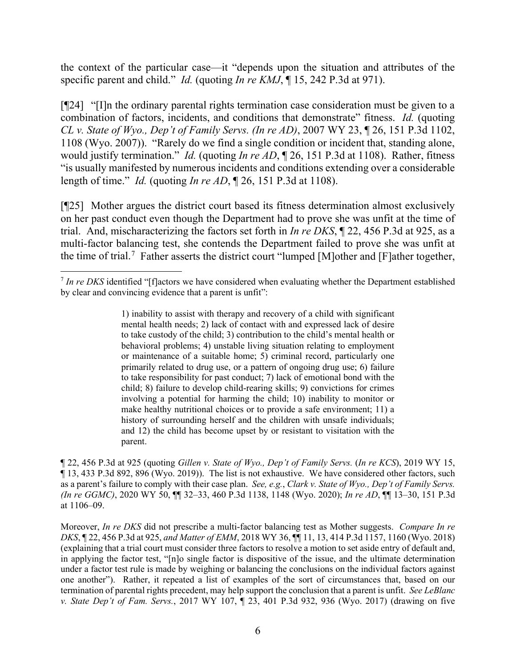the context of the particular case—it "depends upon the situation and attributes of the specific parent and child." *Id.* (quoting *In re KMJ*, ¶ 15, 242 P.3d at 971).

[¶24] "[I]n the ordinary parental rights termination case consideration must be given to a combination of factors, incidents, and conditions that demonstrate" fitness. *Id.* (quoting *CL v. State of Wyo., Dep't of Family Servs. (In re AD)*, 2007 WY 23, ¶ 26, 151 P.3d 1102, 1108 (Wyo. 2007)). "Rarely do we find a single condition or incident that, standing alone, would justify termination." *Id.* (quoting *In re AD*, ¶ 26, 151 P.3d at 1108). Rather, fitness "is usually manifested by numerous incidents and conditions extending over a considerable length of time." *Id.* (quoting *In re AD*, ¶ 26, 151 P.3d at 1108).

[¶25] Mother argues the district court based its fitness determination almost exclusively on her past conduct even though the Department had to prove she was unfit at the time of trial. And, mischaracterizing the factors set forth in *In re DKS*, ¶ 22, 456 P.3d at 925, as a multi-factor balancing test, she contends the Department failed to prove she was unfit at the time of trial.<sup>[7](#page-7-0)</sup> Father asserts the district court "lumped [M]other and [F]ather together,

¶ 22, 456 P.3d at 925 (quoting *Gillen v. State of Wyo., Dep't of Family Servs.* (*In re KCS*), 2019 WY 15, ¶ 13, 433 P.3d 892, 896 (Wyo. 2019)). The list is not exhaustive. We have considered other factors, such as a parent's failure to comply with their case plan. *See, e.g.*, *Clark v. State of Wyo., Dep't of Family Servs. (In re GGMC)*, 2020 WY 50, ¶¶ 32–33, 460 P.3d 1138, 1148 (Wyo. 2020); *In re AD*, ¶¶ 13–30, 151 P.3d at 1106–09.

Moreover, *In re DKS* did not prescribe a multi-factor balancing test as Mother suggests. *Compare In re DKS*, ¶ 22, 456 P.3d at 925, *and Matter of EMM*, 2018 WY 36, ¶¶ 11, 13, 414 P.3d 1157, 1160 (Wyo. 2018) (explaining that a trial court must consider three factors to resolve a motion to set aside entry of default and, in applying the factor test, "[n]o single factor is dispositive of the issue, and the ultimate determination under a factor test rule is made by weighing or balancing the conclusions on the individual factors against one another"). Rather, it repeated a list of examples of the sort of circumstances that, based on our termination of parental rights precedent, may help support the conclusion that a parent is unfit. *See LeBlanc v. State Dep't of Fam. Servs.*, 2017 WY 107, ¶ 23, 401 P.3d 932, 936 (Wyo. 2017) (drawing on five

<span id="page-7-0"></span><sup>&</sup>lt;sup>7</sup> In re DKS identified "[f]actors we have considered when evaluating whether the Department established by clear and convincing evidence that a parent is unfit":

<sup>1)</sup> inability to assist with therapy and recovery of a child with significant mental health needs; 2) lack of contact with and expressed lack of desire to take custody of the child; 3) contribution to the child's mental health or behavioral problems; 4) unstable living situation relating to employment or maintenance of a suitable home; 5) criminal record, particularly one primarily related to drug use, or a pattern of ongoing drug use; 6) failure to take responsibility for past conduct; 7) lack of emotional bond with the child; 8) failure to develop child-rearing skills; 9) convictions for crimes involving a potential for harming the child; 10) inability to monitor or make healthy nutritional choices or to provide a safe environment; 11) a history of surrounding herself and the children with unsafe individuals; and 12) the child has become upset by or resistant to visitation with the parent.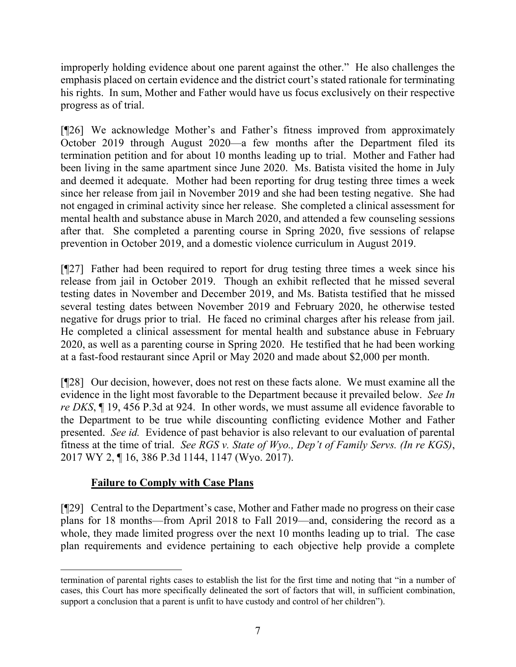improperly holding evidence about one parent against the other." He also challenges the emphasis placed on certain evidence and the district court's stated rationale for terminating his rights. In sum, Mother and Father would have us focus exclusively on their respective progress as of trial.

[¶26] We acknowledge Mother's and Father's fitness improved from approximately October 2019 through August 2020—a few months after the Department filed its termination petition and for about 10 months leading up to trial. Mother and Father had been living in the same apartment since June 2020. Ms. Batista visited the home in July and deemed it adequate. Mother had been reporting for drug testing three times a week since her release from jail in November 2019 and she had been testing negative. She had not engaged in criminal activity since her release. She completed a clinical assessment for mental health and substance abuse in March 2020, and attended a few counseling sessions after that. She completed a parenting course in Spring 2020, five sessions of relapse prevention in October 2019, and a domestic violence curriculum in August 2019.

[¶27] Father had been required to report for drug testing three times a week since his release from jail in October 2019. Though an exhibit reflected that he missed several testing dates in November and December 2019, and Ms. Batista testified that he missed several testing dates between November 2019 and February 2020, he otherwise tested negative for drugs prior to trial. He faced no criminal charges after his release from jail. He completed a clinical assessment for mental health and substance abuse in February 2020, as well as a parenting course in Spring 2020. He testified that he had been working at a fast-food restaurant since April or May 2020 and made about \$2,000 per month.

[¶28] Our decision, however, does not rest on these facts alone. We must examine all the evidence in the light most favorable to the Department because it prevailed below. *See In re DKS*, ¶ 19, 456 P.3d at 924. In other words, we must assume all evidence favorable to the Department to be true while discounting conflicting evidence Mother and Father presented. *See id.* Evidence of past behavior is also relevant to our evaluation of parental fitness at the time of trial. *See RGS v. State of Wyo., Dep't of Family Servs. (In re KGS)*, 2017 WY 2, ¶ 16, 386 P.3d 1144, 1147 (Wyo. 2017).

# **Failure to Comply with Case Plans**

[¶29] Central to the Department's case, Mother and Father made no progress on their case plans for 18 months—from April 2018 to Fall 2019—and, considering the record as a whole, they made limited progress over the next 10 months leading up to trial. The case plan requirements and evidence pertaining to each objective help provide a complete

termination of parental rights cases to establish the list for the first time and noting that "in a number of cases, this Court has more specifically delineated the sort of factors that will, in sufficient combination, support a conclusion that a parent is unfit to have custody and control of her children").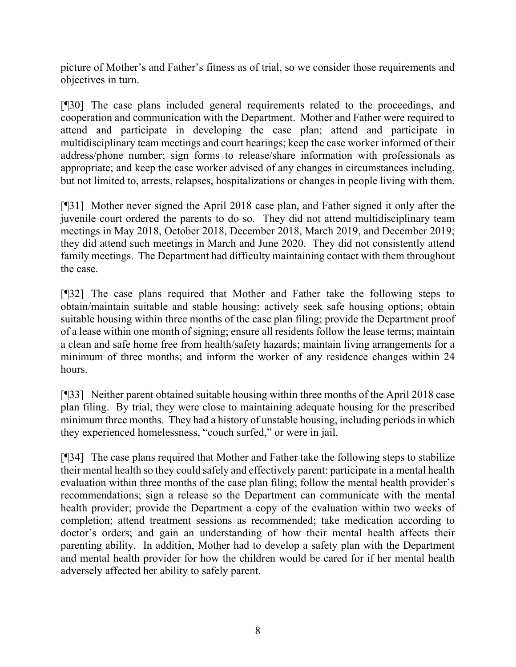picture of Mother's and Father's fitness as of trial, so we consider those requirements and objectives in turn.

[¶30] The case plans included general requirements related to the proceedings, and cooperation and communication with the Department. Mother and Father were required to attend and participate in developing the case plan; attend and participate in multidisciplinary team meetings and court hearings; keep the case worker informed of their address/phone number; sign forms to release/share information with professionals as appropriate; and keep the case worker advised of any changes in circumstances including, but not limited to, arrests, relapses, hospitalizations or changes in people living with them.

[¶31] Mother never signed the April 2018 case plan, and Father signed it only after the juvenile court ordered the parents to do so. They did not attend multidisciplinary team meetings in May 2018, October 2018, December 2018, March 2019, and December 2019; they did attend such meetings in March and June 2020. They did not consistently attend family meetings. The Department had difficulty maintaining contact with them throughout the case.

[¶32] The case plans required that Mother and Father take the following steps to obtain/maintain suitable and stable housing: actively seek safe housing options; obtain suitable housing within three months of the case plan filing; provide the Department proof of a lease within one month of signing; ensure all residents follow the lease terms; maintain a clean and safe home free from health/safety hazards; maintain living arrangements for a minimum of three months; and inform the worker of any residence changes within 24 hours.

[¶33] Neither parent obtained suitable housing within three months of the April 2018 case plan filing. By trial, they were close to maintaining adequate housing for the prescribed minimum three months. They had a history of unstable housing, including periods in which they experienced homelessness, "couch surfed," or were in jail.

[¶34] The case plans required that Mother and Father take the following steps to stabilize their mental health so they could safely and effectively parent: participate in a mental health evaluation within three months of the case plan filing; follow the mental health provider's recommendations; sign a release so the Department can communicate with the mental health provider; provide the Department a copy of the evaluation within two weeks of completion; attend treatment sessions as recommended; take medication according to doctor's orders; and gain an understanding of how their mental health affects their parenting ability. In addition, Mother had to develop a safety plan with the Department and mental health provider for how the children would be cared for if her mental health adversely affected her ability to safely parent.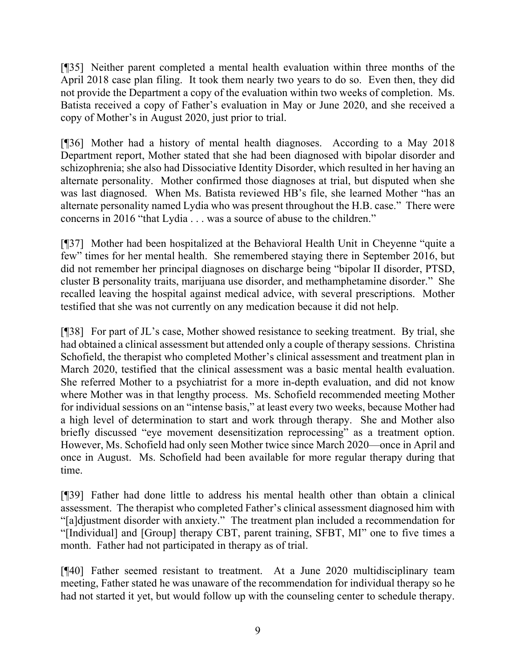[¶35] Neither parent completed a mental health evaluation within three months of the April 2018 case plan filing. It took them nearly two years to do so. Even then, they did not provide the Department a copy of the evaluation within two weeks of completion. Ms. Batista received a copy of Father's evaluation in May or June 2020, and she received a copy of Mother's in August 2020, just prior to trial.

[¶36] Mother had a history of mental health diagnoses. According to a May 2018 Department report, Mother stated that she had been diagnosed with bipolar disorder and schizophrenia; she also had Dissociative Identity Disorder, which resulted in her having an alternate personality. Mother confirmed those diagnoses at trial, but disputed when she was last diagnosed. When Ms. Batista reviewed HB's file, she learned Mother "has an alternate personality named Lydia who was present throughout the H.B. case." There were concerns in 2016 "that Lydia . . . was a source of abuse to the children."

[¶37] Mother had been hospitalized at the Behavioral Health Unit in Cheyenne "quite a few" times for her mental health. She remembered staying there in September 2016, but did not remember her principal diagnoses on discharge being "bipolar II disorder, PTSD, cluster B personality traits, marijuana use disorder, and methamphetamine disorder." She recalled leaving the hospital against medical advice, with several prescriptions. Mother testified that she was not currently on any medication because it did not help.

[¶38] For part of JL's case, Mother showed resistance to seeking treatment. By trial, she had obtained a clinical assessment but attended only a couple of therapy sessions. Christina Schofield, the therapist who completed Mother's clinical assessment and treatment plan in March 2020, testified that the clinical assessment was a basic mental health evaluation. She referred Mother to a psychiatrist for a more in-depth evaluation, and did not know where Mother was in that lengthy process. Ms. Schofield recommended meeting Mother for individual sessions on an "intense basis," at least every two weeks, because Mother had a high level of determination to start and work through therapy. She and Mother also briefly discussed "eye movement desensitization reprocessing" as a treatment option. However, Ms. Schofield had only seen Mother twice since March 2020—once in April and once in August. Ms. Schofield had been available for more regular therapy during that time.

[¶39] Father had done little to address his mental health other than obtain a clinical assessment. The therapist who completed Father's clinical assessment diagnosed him with "[a]djustment disorder with anxiety." The treatment plan included a recommendation for "[Individual] and [Group] therapy CBT, parent training, SFBT, MI" one to five times a month. Father had not participated in therapy as of trial.

[¶40] Father seemed resistant to treatment. At a June 2020 multidisciplinary team meeting, Father stated he was unaware of the recommendation for individual therapy so he had not started it yet, but would follow up with the counseling center to schedule therapy.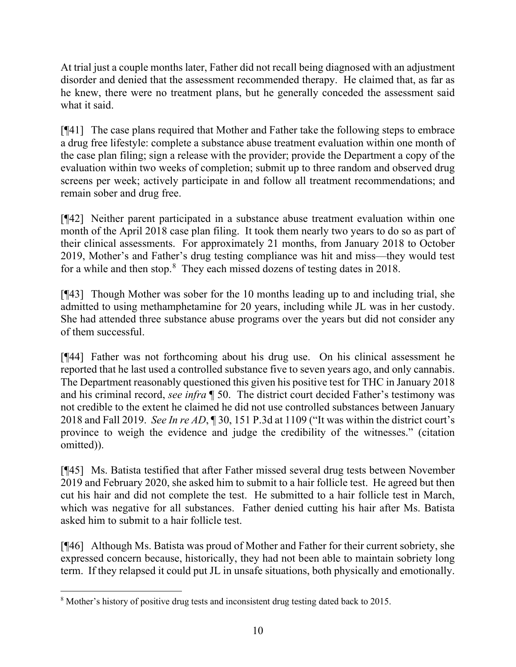At trial just a couple months later, Father did not recall being diagnosed with an adjustment disorder and denied that the assessment recommended therapy. He claimed that, as far as he knew, there were no treatment plans, but he generally conceded the assessment said what it said.

[¶41] The case plans required that Mother and Father take the following steps to embrace a drug free lifestyle: complete a substance abuse treatment evaluation within one month of the case plan filing; sign a release with the provider; provide the Department a copy of the evaluation within two weeks of completion; submit up to three random and observed drug screens per week; actively participate in and follow all treatment recommendations; and remain sober and drug free.

[¶42] Neither parent participated in a substance abuse treatment evaluation within one month of the April 2018 case plan filing. It took them nearly two years to do so as part of their clinical assessments. For approximately 21 months, from January 2018 to October 2019, Mother's and Father's drug testing compliance was hit and miss—they would test for a while and then stop.<sup>[8](#page-11-0)</sup> They each missed dozens of testing dates in 2018.

[¶43] Though Mother was sober for the 10 months leading up to and including trial, she admitted to using methamphetamine for 20 years, including while JL was in her custody. She had attended three substance abuse programs over the years but did not consider any of them successful.

[¶44] Father was not forthcoming about his drug use. On his clinical assessment he reported that he last used a controlled substance five to seven years ago, and only cannabis. The Department reasonably questioned this given his positive test for THC in January 2018 and his criminal record, *see infra* ¶ 50. The district court decided Father's testimony was not credible to the extent he claimed he did not use controlled substances between January 2018 and Fall 2019. *See In re AD*, ¶ 30, 151 P.3d at 1109 ("It was within the district court's province to weigh the evidence and judge the credibility of the witnesses." (citation omitted)).

[¶45] Ms. Batista testified that after Father missed several drug tests between November 2019 and February 2020, she asked him to submit to a hair follicle test. He agreed but then cut his hair and did not complete the test. He submitted to a hair follicle test in March, which was negative for all substances. Father denied cutting his hair after Ms. Batista asked him to submit to a hair follicle test.

[¶46] Although Ms. Batista was proud of Mother and Father for their current sobriety, she expressed concern because, historically, they had not been able to maintain sobriety long term. If they relapsed it could put JL in unsafe situations, both physically and emotionally.

<span id="page-11-0"></span><sup>8</sup> Mother's history of positive drug tests and inconsistent drug testing dated back to 2015.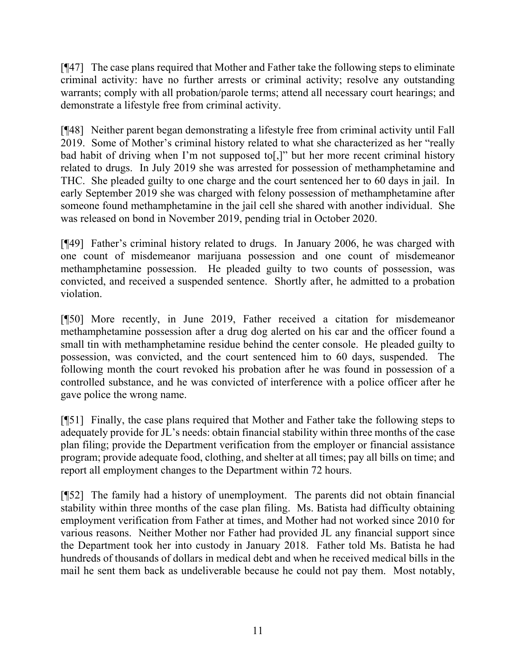[¶47] The case plans required that Mother and Father take the following steps to eliminate criminal activity: have no further arrests or criminal activity; resolve any outstanding warrants; comply with all probation/parole terms; attend all necessary court hearings; and demonstrate a lifestyle free from criminal activity.

[¶48] Neither parent began demonstrating a lifestyle free from criminal activity until Fall 2019. Some of Mother's criminal history related to what she characterized as her "really bad habit of driving when I'm not supposed to[,]" but her more recent criminal history related to drugs. In July 2019 she was arrested for possession of methamphetamine and THC. She pleaded guilty to one charge and the court sentenced her to 60 days in jail. In early September 2019 she was charged with felony possession of methamphetamine after someone found methamphetamine in the jail cell she shared with another individual. She was released on bond in November 2019, pending trial in October 2020.

[¶49] Father's criminal history related to drugs. In January 2006, he was charged with one count of misdemeanor marijuana possession and one count of misdemeanor methamphetamine possession. He pleaded guilty to two counts of possession, was convicted, and received a suspended sentence. Shortly after, he admitted to a probation violation.

[¶50] More recently, in June 2019, Father received a citation for misdemeanor methamphetamine possession after a drug dog alerted on his car and the officer found a small tin with methamphetamine residue behind the center console. He pleaded guilty to possession, was convicted, and the court sentenced him to 60 days, suspended. The following month the court revoked his probation after he was found in possession of a controlled substance, and he was convicted of interference with a police officer after he gave police the wrong name.

[¶51] Finally, the case plans required that Mother and Father take the following steps to adequately provide for JL's needs: obtain financial stability within three months of the case plan filing; provide the Department verification from the employer or financial assistance program; provide adequate food, clothing, and shelter at all times; pay all bills on time; and report all employment changes to the Department within 72 hours.

[¶52] The family had a history of unemployment. The parents did not obtain financial stability within three months of the case plan filing. Ms. Batista had difficulty obtaining employment verification from Father at times, and Mother had not worked since 2010 for various reasons. Neither Mother nor Father had provided JL any financial support since the Department took her into custody in January 2018. Father told Ms. Batista he had hundreds of thousands of dollars in medical debt and when he received medical bills in the mail he sent them back as undeliverable because he could not pay them. Most notably,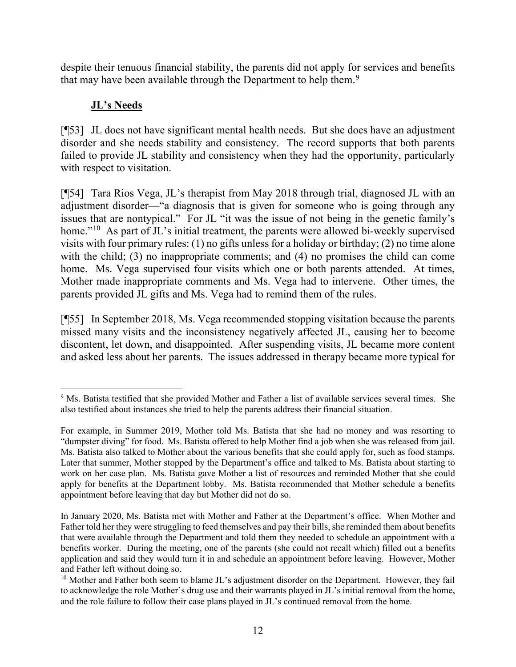despite their tenuous financial stability, the parents did not apply for services and benefits that may have been available through the Department to help them.<sup>[9](#page-13-0)</sup>

# **JL's Needs**

[¶53] JL does not have significant mental health needs. But she does have an adjustment disorder and she needs stability and consistency. The record supports that both parents failed to provide JL stability and consistency when they had the opportunity, particularly with respect to visitation.

[¶54] Tara Rios Vega, JL's therapist from May 2018 through trial, diagnosed JL with an adjustment disorder—"a diagnosis that is given for someone who is going through any issues that are nontypical." For JL "it was the issue of not being in the genetic family's home."<sup>[10](#page-13-1)</sup> As part of JL's initial treatment, the parents were allowed bi-weekly supervised visits with four primary rules: (1) no gifts unless for a holiday or birthday; (2) no time alone with the child; (3) no inappropriate comments; and (4) no promises the child can come home. Ms. Vega supervised four visits which one or both parents attended. At times, Mother made inappropriate comments and Ms. Vega had to intervene. Other times, the parents provided JL gifts and Ms. Vega had to remind them of the rules.

[¶55] In September 2018, Ms. Vega recommended stopping visitation because the parents missed many visits and the inconsistency negatively affected JL, causing her to become discontent, let down, and disappointed. After suspending visits, JL became more content and asked less about her parents. The issues addressed in therapy became more typical for

<span id="page-13-0"></span><sup>&</sup>lt;sup>9</sup> Ms. Batista testified that she provided Mother and Father a list of available services several times. She also testified about instances she tried to help the parents address their financial situation.

For example, in Summer 2019, Mother told Ms. Batista that she had no money and was resorting to "dumpster diving" for food. Ms. Batista offered to help Mother find a job when she was released from jail. Ms. Batista also talked to Mother about the various benefits that she could apply for, such as food stamps. Later that summer, Mother stopped by the Department's office and talked to Ms. Batista about starting to work on her case plan. Ms. Batista gave Mother a list of resources and reminded Mother that she could apply for benefits at the Department lobby. Ms. Batista recommended that Mother schedule a benefits appointment before leaving that day but Mother did not do so.

In January 2020, Ms. Batista met with Mother and Father at the Department's office. When Mother and Father told her they were struggling to feed themselves and pay their bills, she reminded them about benefits that were available through the Department and told them they needed to schedule an appointment with a benefits worker. During the meeting, one of the parents (she could not recall which) filled out a benefits application and said they would turn it in and schedule an appointment before leaving. However, Mother and Father left without doing so.<br><sup>10</sup> Mother and Father both seem to blame JL's adjustment disorder on the Department. However, they fail

<span id="page-13-1"></span>to acknowledge the role Mother's drug use and their warrants played in JL's initial removal from the home, and the role failure to follow their case plans played in JL's continued removal from the home.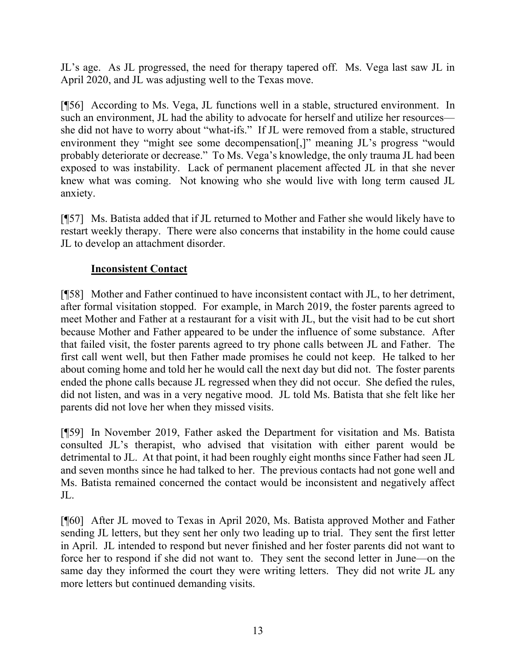JL's age. As JL progressed, the need for therapy tapered off. Ms. Vega last saw JL in April 2020, and JL was adjusting well to the Texas move.

[¶56] According to Ms. Vega, JL functions well in a stable, structured environment. In such an environment, JL had the ability to advocate for herself and utilize her resources she did not have to worry about "what-ifs." If JL were removed from a stable, structured environment they "might see some decompensation[,]" meaning JL's progress "would probably deteriorate or decrease." To Ms. Vega's knowledge, the only trauma JL had been exposed to was instability. Lack of permanent placement affected JL in that she never knew what was coming. Not knowing who she would live with long term caused JL anxiety.

[¶57] Ms. Batista added that if JL returned to Mother and Father she would likely have to restart weekly therapy. There were also concerns that instability in the home could cause JL to develop an attachment disorder.

# **Inconsistent Contact**

[¶58] Mother and Father continued to have inconsistent contact with JL, to her detriment, after formal visitation stopped. For example, in March 2019, the foster parents agreed to meet Mother and Father at a restaurant for a visit with JL, but the visit had to be cut short because Mother and Father appeared to be under the influence of some substance. After that failed visit, the foster parents agreed to try phone calls between JL and Father. The first call went well, but then Father made promises he could not keep. He talked to her about coming home and told her he would call the next day but did not. The foster parents ended the phone calls because JL regressed when they did not occur. She defied the rules, did not listen, and was in a very negative mood. JL told Ms. Batista that she felt like her parents did not love her when they missed visits.

[¶59] In November 2019, Father asked the Department for visitation and Ms. Batista consulted JL's therapist, who advised that visitation with either parent would be detrimental to JL. At that point, it had been roughly eight months since Father had seen JL and seven months since he had talked to her. The previous contacts had not gone well and Ms. Batista remained concerned the contact would be inconsistent and negatively affect JL.

[¶60] After JL moved to Texas in April 2020, Ms. Batista approved Mother and Father sending JL letters, but they sent her only two leading up to trial. They sent the first letter in April. JL intended to respond but never finished and her foster parents did not want to force her to respond if she did not want to. They sent the second letter in June—on the same day they informed the court they were writing letters. They did not write JL any more letters but continued demanding visits.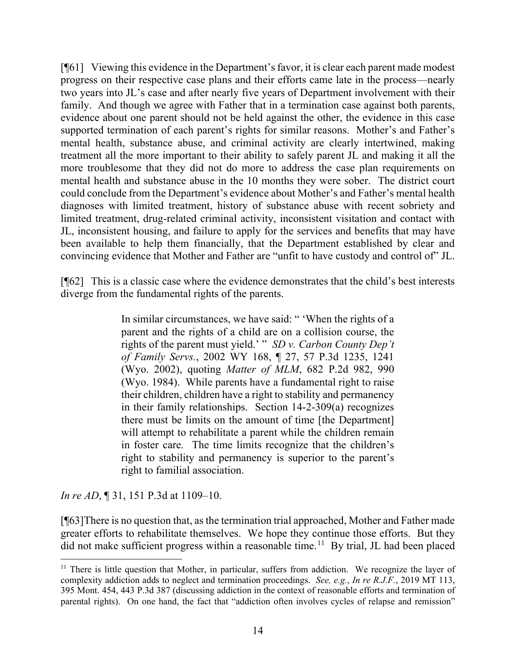[¶61] Viewing this evidence in the Department's favor, it is clear each parent made modest progress on their respective case plans and their efforts came late in the process—nearly two years into JL's case and after nearly five years of Department involvement with their family. And though we agree with Father that in a termination case against both parents, evidence about one parent should not be held against the other, the evidence in this case supported termination of each parent's rights for similar reasons. Mother's and Father's mental health, substance abuse, and criminal activity are clearly intertwined, making treatment all the more important to their ability to safely parent JL and making it all the more troublesome that they did not do more to address the case plan requirements on mental health and substance abuse in the 10 months they were sober. The district court could conclude from the Department's evidence about Mother's and Father's mental health diagnoses with limited treatment, history of substance abuse with recent sobriety and limited treatment, drug-related criminal activity, inconsistent visitation and contact with JL, inconsistent housing, and failure to apply for the services and benefits that may have been available to help them financially, that the Department established by clear and convincing evidence that Mother and Father are "unfit to have custody and control of" JL.

[¶62] This is a classic case where the evidence demonstrates that the child's best interests diverge from the fundamental rights of the parents.

> In similar circumstances, we have said: " 'When the rights of a parent and the rights of a child are on a collision course, the rights of the parent must yield.' " *SD v. Carbon County Dep't of Family Servs.*, 2002 WY 168, ¶ 27, 57 P.3d 1235, 1241 (Wyo. 2002), quoting *Matter of MLM*, 682 P.2d 982, 990 (Wyo. 1984). While parents have a fundamental right to raise their children, children have a right to stability and permanency in their family relationships. Section 14-2-309(a) recognizes there must be limits on the amount of time [the Department] will attempt to rehabilitate a parent while the children remain in foster care. The time limits recognize that the children's right to stability and permanency is superior to the parent's right to familial association.

*In re AD*, **[31, 151 P.3d at 1109–10.** 

[¶63]There is no question that, as the termination trial approached, Mother and Father made greater efforts to rehabilitate themselves. We hope they continue those efforts. But they did not make sufficient progress within a reasonable time.<sup>[11](#page-15-0)</sup> By trial, JL had been placed

<span id="page-15-0"></span><sup>&</sup>lt;sup>11</sup> There is little question that Mother, in particular, suffers from addiction. We recognize the layer of complexity addiction adds to neglect and termination proceedings. *See, e.g.*, *In re R.J.F.*, 2019 MT 113, 395 Mont. 454, 443 P.3d 387 (discussing addiction in the context of reasonable efforts and termination of parental rights). On one hand, the fact that "addiction often involves cycles of relapse and remission"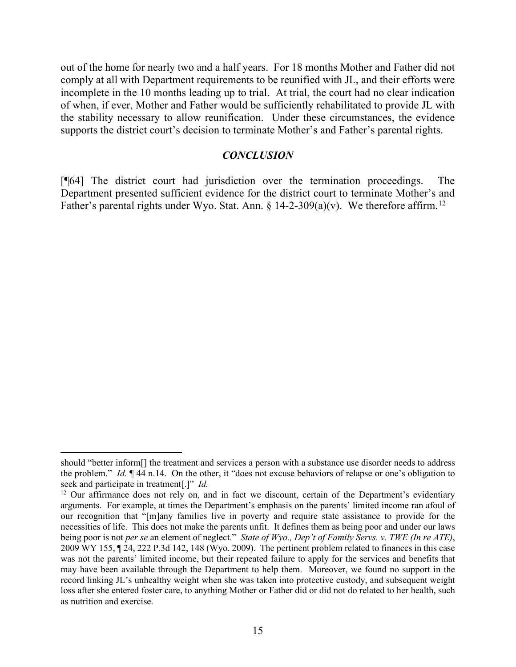out of the home for nearly two and a half years. For 18 months Mother and Father did not comply at all with Department requirements to be reunified with JL, and their efforts were incomplete in the 10 months leading up to trial. At trial, the court had no clear indication of when, if ever, Mother and Father would be sufficiently rehabilitated to provide JL with the stability necessary to allow reunification. Under these circumstances, the evidence supports the district court's decision to terminate Mother's and Father's parental rights.

#### *CONCLUSION*

[¶64] The district court had jurisdiction over the termination proceedings. The Department presented sufficient evidence for the district court to terminate Mother's and Father's parental rights under Wyo. Stat. Ann.  $\frac{12}{14-2-309(a)(v)}$  $\frac{12}{14-2-309(a)(v)}$  $\frac{12}{14-2-309(a)(v)}$ . We therefore affirm.<sup>12</sup>

should "better inform[] the treatment and services a person with a substance use disorder needs to address the problem." *Id.* ¶ 44 n.14. On the other, it "does not excuse behaviors of relapse or one's obligation to seek and participate in treatment[.]" *Id.*

<span id="page-16-0"></span><sup>&</sup>lt;sup>12</sup> Our affirmance does not rely on, and in fact we discount, certain of the Department's evidentiary arguments. For example, at times the Department's emphasis on the parents' limited income ran afoul of our recognition that "[m]any families live in poverty and require state assistance to provide for the necessities of life. This does not make the parents unfit. It defines them as being poor and under our laws being poor is not *per se* an element of neglect." *State of Wyo., Dep't of Family Servs. v. TWE (In re ATE)*, 2009 WY 155, ¶ 24, 222 P.3d 142, 148 (Wyo. 2009). The pertinent problem related to finances in this case was not the parents' limited income, but their repeated failure to apply for the services and benefits that may have been available through the Department to help them. Moreover, we found no support in the record linking JL's unhealthy weight when she was taken into protective custody, and subsequent weight loss after she entered foster care, to anything Mother or Father did or did not do related to her health, such as nutrition and exercise.